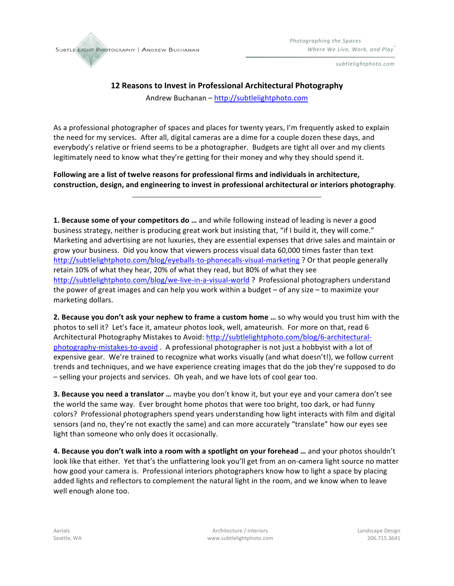

*subtlelightphoto.com*

## **12 Reasons to Invest in Professional Architectural Photography**

Andrew Buchanan - http://subtlelightphoto.com

As a professional photographer of spaces and places for twenty years, I'm frequently asked to explain the need for my services. After all, digital cameras are a dime for a couple dozen these days, and everybody's relative or friend seems to be a photographer. Budgets are tight all over and my clients legitimately need to know what they're getting for their money and why they should spend it.

Following are a list of twelve reasons for professional firms and individuals in architecture, construction, design, and engineering to invest in professional architectural or interiors photography.

**1. Because some of your competitors do ...** and while following instead of leading is never a good business strategy, neither is producing great work but insisting that, "if I build it, they will come." Marketing and advertising are not luxuries, they are essential expenses that drive sales and maintain or grow your business. Did you know that viewers process visual data 60,000 times faster than text http://subtlelightphoto.com/blog/eyeballs-to-phonecalls-visual-marketing ? Or that people generally retain 10% of what they hear, 20% of what they read, but 80% of what they see http://subtlelightphoto.com/blog/we-live-in-a-visual-world ? Professional photographers understand the power of great images and can help you work within a budget – of any size – to maximize your marketing dollars.

**2. Because you don't ask your nephew to frame a custom home ...** so why would you trust him with the photos to sell it? Let's face it, amateur photos look, well, amateurish. For more on that, read 6 Architectural Photography Mistakes to Avoid: http://subtlelightphoto.com/blog/6-architecturalphotography-mistakes-to-avoid . A professional photographer is not just a hobbyist with a lot of expensive gear. We're trained to recognize what works visually (and what doesn't!), we follow current trends and techniques, and we have experience creating images that do the job they're supposed to do - selling your projects and services. Oh yeah, and we have lots of cool gear too.

**3. Because you need a translator ...** maybe you don't know it, but your eye and your camera don't see the world the same way. Ever brought home photos that were too bright, too dark, or had funny colors? Professional photographers spend years understanding how light interacts with film and digital sensors (and no, they're not exactly the same) and can more accurately "translate" how our eyes see light than someone who only does it occasionally.

4. Because you don't walk into a room with a spotlight on your forehead ... and your photos shouldn't look like that either. Yet that's the unflattering look you'll get from an on-camera light source no matter how good your camera is. Professional interiors photographers know how to light a space by placing added lights and reflectors to complement the natural light in the room, and we know when to leave well enough alone too.

Aerials
and School Communication Communication (Interiors Architecture / Interiors Communication Candidation Communication Candidation Communication Communication (Interiors According to the United School Communication Com Seattle,(WA www.subtlelightphoto.com 206.715.3641